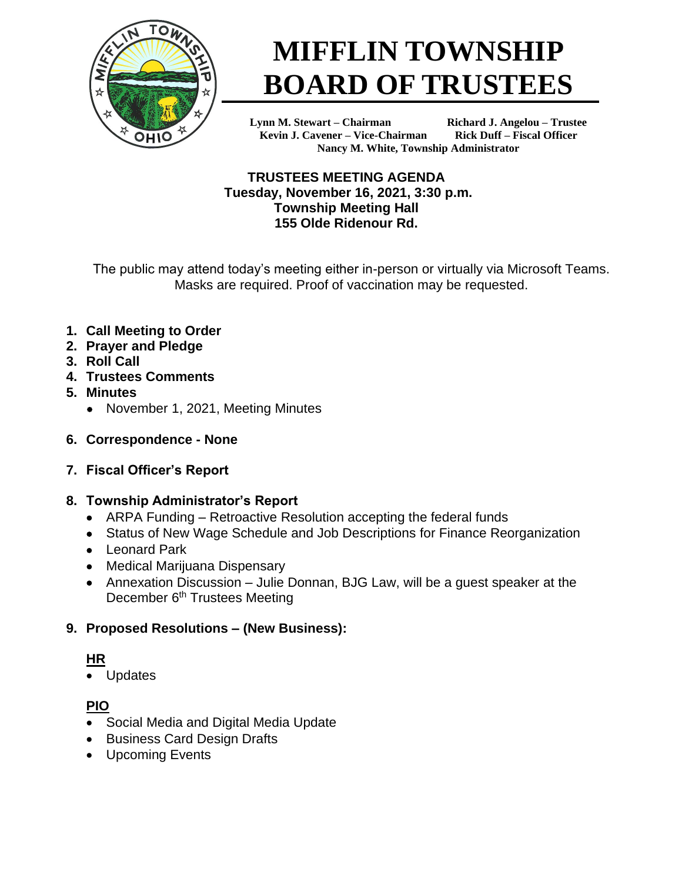

# **MIFFLIN TOWNSHIP BOARD OF TRUSTEES**

**Lynn M. Stewart – Chairman Richard J. Angelou – Trustee Kevin J. Cavener – Vice-Chairman Rick Duff – Fiscal Officer Nancy M. White, Township Administrator**

**TRUSTEES MEETING AGENDA Tuesday, November 16, 2021, 3:30 p.m. Township Meeting Hall 155 Olde Ridenour Rd.**

The public may attend today's meeting either in-person or virtually via Microsoft Teams. Masks are required. Proof of vaccination may be requested.

- **1. Call Meeting to Order**
- **2. Prayer and Pledge**
- **3. Roll Call**
- **4. Trustees Comments**
- **5. Minutes**
	- November 1, 2021, Meeting Minutes
- **6. Correspondence - None**
- **7. Fiscal Officer's Report**

## **8. Township Administrator's Report**

- ARPA Funding Retroactive Resolution accepting the federal funds
- Status of New Wage Schedule and Job Descriptions for Finance Reorganization
- Leonard Park
- Medical Marijuana Dispensary
- Annexation Discussion Julie Donnan, BJG Law, will be a guest speaker at the December 6<sup>th</sup> Trustees Meeting

## **9. Proposed Resolutions – (New Business):**

## **HR**

• Updates

## **PIO**

- Social Media and Digital Media Update
- Business Card Design Drafts
- Upcoming Events